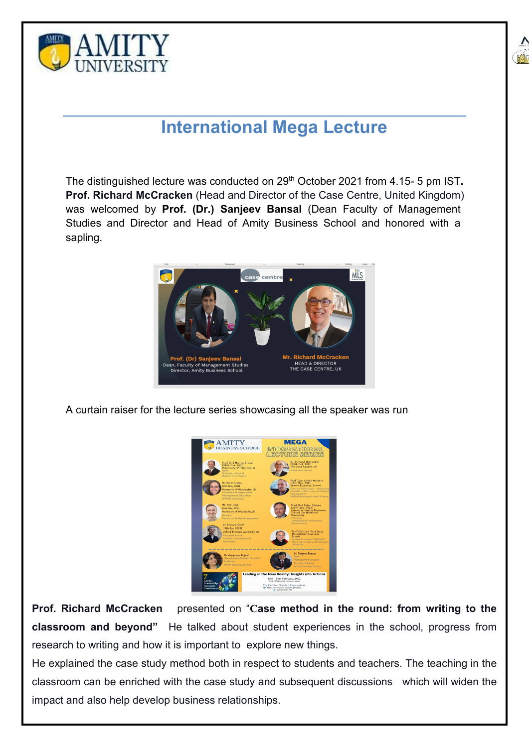



## **International Mega Lecture**

The distinguished lecture was conducted on 29<sup>th</sup> October 2021 from 4.15- 5 pm IST. **Prof. Richard McCracken** (Head and Director of the Case Centre, United Kingdom) was welcomed by **Prof. (Dr.) Sanjeev Bansal** (Dean Faculty of Management Studies and Director and Head of Amity Business School and honored with a sapling.



A curtain raiser for the lecture series showcasing all the speaker was run



**Prof. Richard McCracken** presented on "**Case method in the round: from writing to the classroom and beyond"** He talked about student experiences in the school, progress from

research to writing and how it is important to explore new things.<br>He explained the case study method both in respect to students and teachers. The teaching in the classroom can be enriched with the case study and subsequent discussions which will widen the impact and also help develop business relationships.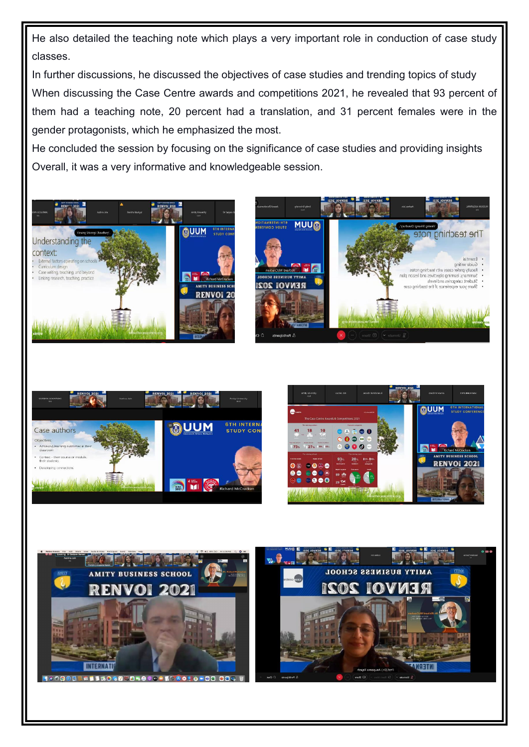He also detailed the teaching note which plays a very important role in conduction of case study classes.

In further discussions, he discussed the objectives of case studies and trending topics of study When discussing the Case Centre awards and competitions 2021, he revealed that 93 percent of them had a teaching note, 20 percent had a translation, and 31 percent females were in the gender protagonists, which he emphasized the most.

He concluded the session by focusing on the significance of case studies and providing insights Overall, it was a very informative and knowledgeable session.